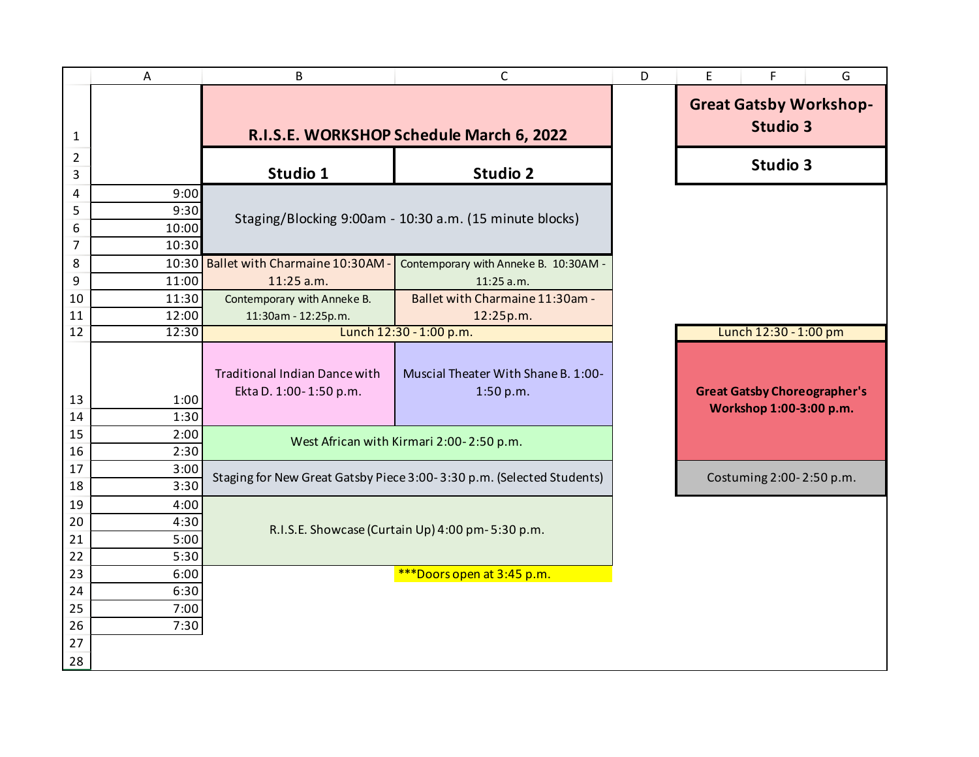|                     | Α              | B                                                              | $\mathsf{C}$                                                          | D | E<br>F<br>G                                                    |
|---------------------|----------------|----------------------------------------------------------------|-----------------------------------------------------------------------|---|----------------------------------------------------------------|
| 1                   |                | R.I.S.E. WORKSHOP Schedule March 6, 2022                       |                                                                       |   | <b>Great Gatsby Workshop-</b><br><b>Studio 3</b>               |
| $\overline{2}$<br>3 |                | Studio 1                                                       | <b>Studio 2</b>                                                       |   | Studio 3                                                       |
| 4                   | 9:00           |                                                                |                                                                       |   |                                                                |
| 5                   | 9:30           |                                                                | Staging/Blocking 9:00am - 10:30 a.m. (15 minute blocks)               |   |                                                                |
| 6                   | 10:00          |                                                                |                                                                       |   |                                                                |
| $\overline{7}$      | 10:30          |                                                                |                                                                       |   |                                                                |
| 8                   | 10:30          | Ballet with Charmaine 10:30AM -                                | Contemporary with Anneke B. 10:30AM -                                 |   |                                                                |
| 9                   | 11:00          | 11:25 a.m.                                                     | 11:25 a.m.                                                            |   |                                                                |
| 10                  | 11:30          | Contemporary with Anneke B.                                    | Ballet with Charmaine 11:30am -                                       |   |                                                                |
| 11<br>12            | 12:00<br>12:30 | 11:30am - 12:25p.m.                                            | 12:25p.m.<br>Lunch 12:30 - 1:00 p.m.                                  |   | Lunch 12:30 - 1:00 pm                                          |
|                     |                |                                                                |                                                                       |   |                                                                |
| 13<br>14            | 1:00<br>1:30   | <b>Traditional Indian Dance with</b><br>Ekta D. 1:00-1:50 p.m. | Muscial Theater With Shane B. 1:00-<br>1:50 p.m.                      |   | <b>Great Gatsby Choreographer's</b><br>Workshop 1:00-3:00 p.m. |
| 15                  | 2:00           |                                                                | West African with Kirmari 2:00-2:50 p.m.                              |   |                                                                |
| 16                  | 2:30           |                                                                |                                                                       |   |                                                                |
| 17                  | 3:00           |                                                                | Staging for New Great Gatsby Piece 3:00-3:30 p.m. (Selected Students) |   | Costuming 2:00-2:50 p.m.                                       |
| 18                  | 3:30           |                                                                |                                                                       |   |                                                                |
| 19                  | 4:00           |                                                                |                                                                       |   |                                                                |
| 20                  | 4:30           | R.I.S.E. Showcase (Curtain Up) 4:00 pm-5:30 p.m.               |                                                                       |   |                                                                |
| 21                  | 5:00           |                                                                |                                                                       |   |                                                                |
| 22                  | 5:30           |                                                                |                                                                       |   |                                                                |
| 23                  | 6:00           |                                                                | ***Doors open at 3:45 p.m.                                            |   |                                                                |
| 24<br>25            | 6:30<br>7:00   |                                                                |                                                                       |   |                                                                |
| 26                  | 7:30           |                                                                |                                                                       |   |                                                                |
| 27                  |                |                                                                |                                                                       |   |                                                                |
| 28                  |                |                                                                |                                                                       |   |                                                                |
|                     |                |                                                                |                                                                       |   |                                                                |